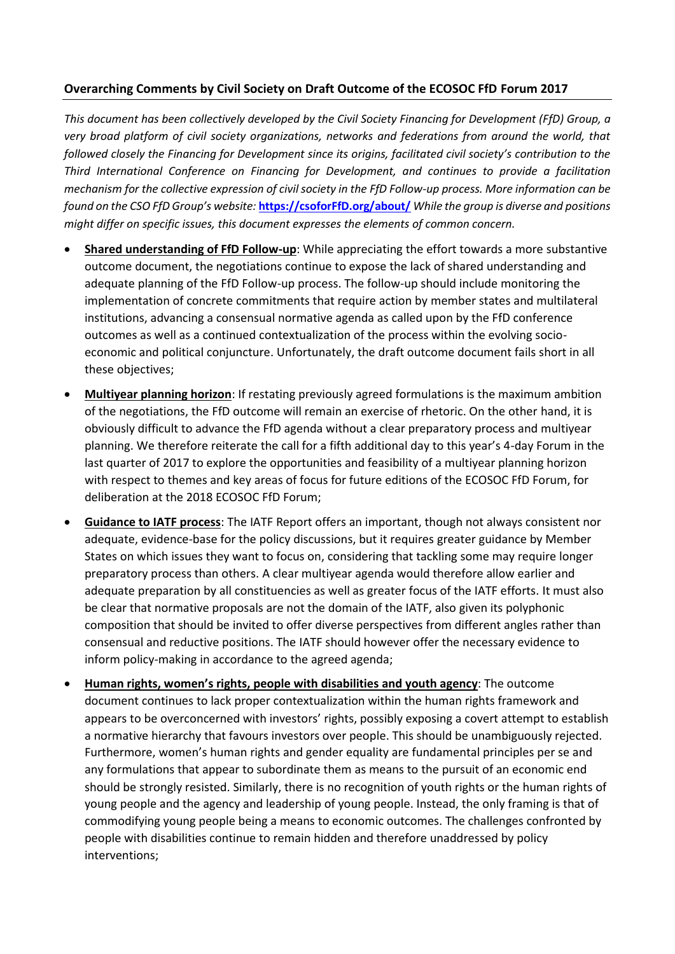## **Overarching Comments by Civil Society on Draft Outcome of the ECOSOC FfD Forum 2017**

*This document has been collectively developed by the Civil Society Financing for Development (FfD) Group, a very broad platform of civil society organizations, networks and federations from around the world, that followed closely the Financing for Development since its origins, facilitated civil society's contribution to the Third International Conference on Financing for Development, and continues to provide a facilitation mechanism for the collective expression of civil society in the FfD Follow-up process. More information can be found on the CSO FfD Group's website:* **[https://csoforFfD.org/about/](https://csoforffd.org/about/)** *While the group is diverse and positions might differ on specific issues, this document expresses the elements of common concern.*

- **Shared understanding of FfD Follow-up**: While appreciating the effort towards a more substantive outcome document, the negotiations continue to expose the lack of shared understanding and adequate planning of the FfD Follow-up process. The follow-up should include monitoring the implementation of concrete commitments that require action by member states and multilateral institutions, advancing a consensual normative agenda as called upon by the FfD conference outcomes as well as a continued contextualization of the process within the evolving socioeconomic and political conjuncture. Unfortunately, the draft outcome document fails short in all these objectives;
- **Multiyear planning horizon**: If restating previously agreed formulations is the maximum ambition of the negotiations, the FfD outcome will remain an exercise of rhetoric. On the other hand, it is obviously difficult to advance the FfD agenda without a clear preparatory process and multiyear planning. We therefore reiterate the call for a fifth additional day to this year's 4-day Forum in the last quarter of 2017 to explore the opportunities and feasibility of a multiyear planning horizon with respect to themes and key areas of focus for future editions of the ECOSOC FfD Forum, for deliberation at the 2018 ECOSOC FfD Forum;
- **Guidance to IATF process**: The IATF Report offers an important, though not always consistent nor adequate, evidence-base for the policy discussions, but it requires greater guidance by Member States on which issues they want to focus on, considering that tackling some may require longer preparatory process than others. A clear multiyear agenda would therefore allow earlier and adequate preparation by all constituencies as well as greater focus of the IATF efforts. It must also be clear that normative proposals are not the domain of the IATF, also given its polyphonic composition that should be invited to offer diverse perspectives from different angles rather than consensual and reductive positions. The IATF should however offer the necessary evidence to inform policy-making in accordance to the agreed agenda;
- **Human rights, women's rights, people with disabilities and youth agency**: The outcome document continues to lack proper contextualization within the human rights framework and appears to be overconcerned with investors' rights, possibly exposing a covert attempt to establish a normative hierarchy that favours investors over people. This should be unambiguously rejected. Furthermore, women's human rights and gender equality are fundamental principles per se and any formulations that appear to subordinate them as means to the pursuit of an economic end should be strongly resisted. Similarly, there is no recognition of youth rights or the human rights of young people and the agency and leadership of young people. Instead, the only framing is that of commodifying young people being a means to economic outcomes. The challenges confronted by people with disabilities continue to remain hidden and therefore unaddressed by policy interventions;